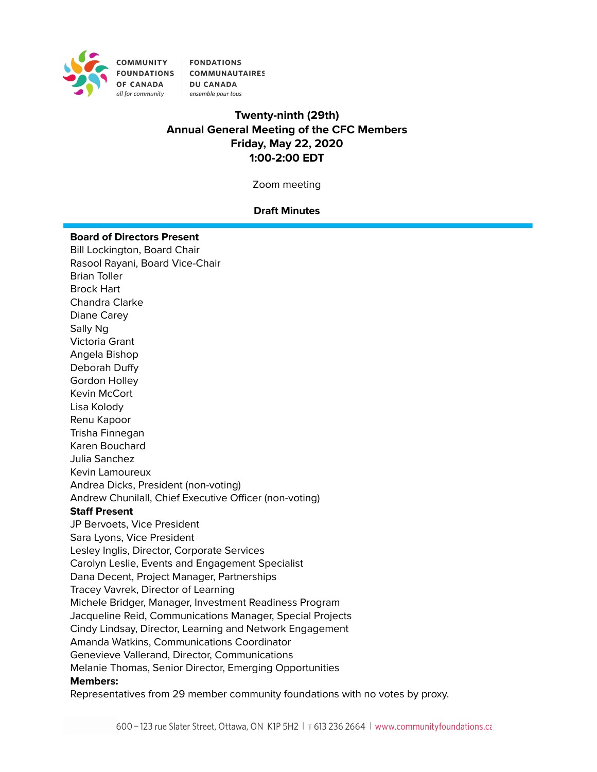

**FONDATIONS** FOUNDATIONS COMMUNAUTAIRES **DU CANADA** ensemble pour tous

# **Twenty-ninth (29th) Annual General Meeting of the CFC Members Friday, May 22, 2020 1:00-2:00 EDT**

Zoom meeting

## **Draft Minutes**

#### **Board of Directors Present**

Bill Lockington, Board Chair Rasool Rayani, Board Vice-Chair Brian Toller Brock Hart Chandra Clarke Diane Carey Sally Ng Victoria Grant Angela Bishop Deborah Duffy Gordon Holley Kevin McCort Lisa Kolody Renu Kapoor Trisha Finnegan Karen Bouchard Julia Sanchez Kevin Lamoureux Andrea Dicks, President (non-voting) Andrew Chunilall, Chief Executive Officer (non-voting) **Staff Present** JP Bervoets, Vice President Sara Lyons, Vice President Lesley Inglis, Director, Corporate Services Carolyn Leslie, Events and Engagement Specialist Dana Decent, Project Manager, Partnerships Tracey Vavrek, Director of Learning Michele Bridger, Manager, Investment Readiness Program Jacqueline Reid, Communications Manager, Special Projects Cindy Lindsay, Director, Learning and Network Engagement Amanda Watkins, Communications Coordinator Genevieve Vallerand, Director, Communications Melanie Thomas, Senior Director, Emerging Opportunities **Members:** Representatives from 29 member community foundations with no votes by proxy.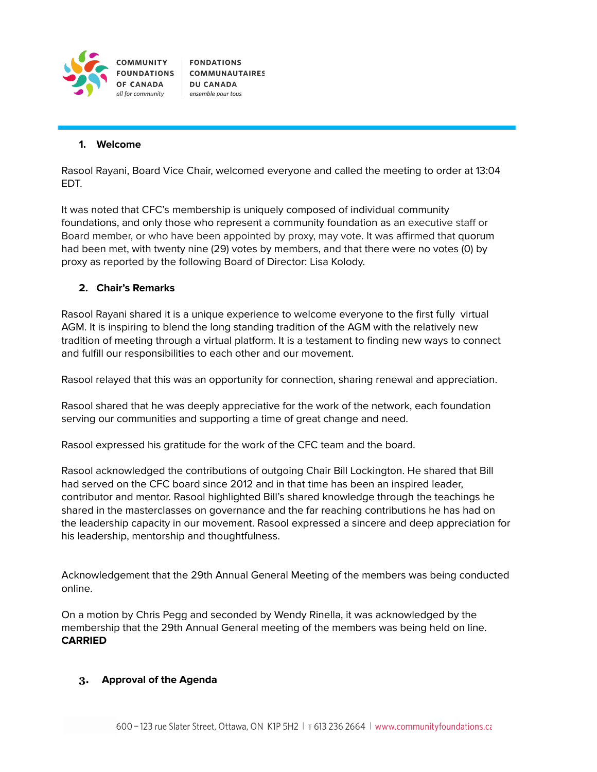

**FONDATIONS COMMUNAUTAIRES DU CANADA** ensemble pour tous

#### **1. Welcome**

Rasool Rayani, Board Vice Chair, welcomed everyone and called the meeting to order at 13:04 EDT.

It was noted that CFC's membership is uniquely composed of individual community foundations, and only those who represent a community foundation as an executive staff or Board member, or who have been appointed by proxy, may vote. It was affirmed that quorum had been met, with twenty nine (29) votes by members, and that there were no votes (0) by proxy as reported by the following Board of Director: Lisa Kolody.

## **2. Chair's Remarks**

Rasool Rayani shared it is a unique experience to welcome everyone to the first fully virtual AGM. It is inspiring to blend the long standing tradition of the AGM with the relatively new tradition of meeting through a virtual platform. It is a testament to finding new ways to connect and fulfill our responsibilities to each other and our movement.

Rasool relayed that this was an opportunity for connection, sharing renewal and appreciation.

Rasool shared that he was deeply appreciative for the work of the network, each foundation serving our communities and supporting a time of great change and need.

Rasool expressed his gratitude for the work of the CFC team and the board.

Rasool acknowledged the contributions of outgoing Chair Bill Lockington. He shared that Bill had served on the CFC board since 2012 and in that time has been an inspired leader, contributor and mentor. Rasool highlighted Bill's shared knowledge through the teachings he shared in the masterclasses on governance and the far reaching contributions he has had on the leadership capacity in our movement. Rasool expressed a sincere and deep appreciation for his leadership, mentorship and thoughtfulness.

Acknowledgement that the 29th Annual General Meeting of the members was being conducted online.

On a motion by Chris Pegg and seconded by Wendy Rinella, it was acknowledged by the membership that the 29th Annual General meeting of the members was being held on line. **CARRIED**

#### **3. Approval of the Agenda**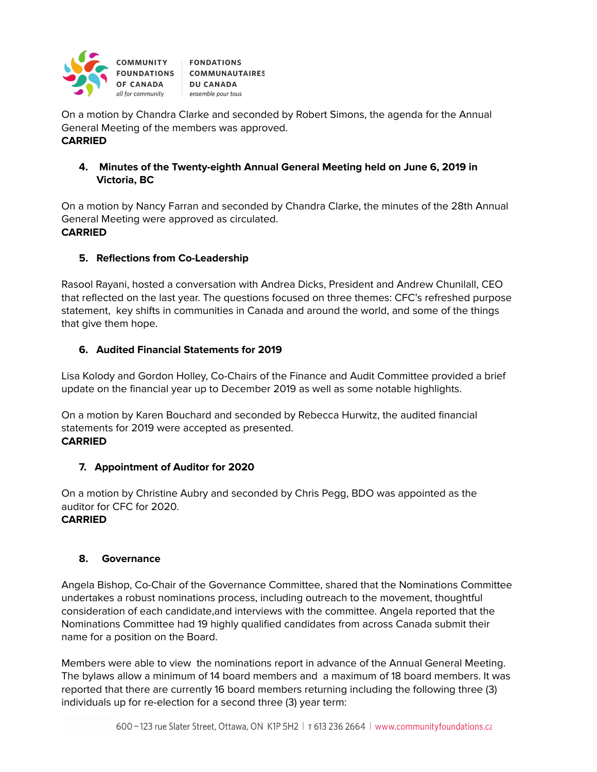

On a motion by Chandra Clarke and seconded by Robert Simons, the agenda for the Annual General Meeting of the members was approved. **CARRIED**

## **4. Minutes of the Twenty-eighth Annual General Meeting held on June 6, 2019 in Victoria, BC**

On a motion by Nancy Farran and seconded by Chandra Clarke, the minutes of the 28th Annual General Meeting were approved as circulated. **CARRIED**

## **5. Reflections from Co-Leadership**

Rasool Rayani, hosted a conversation with Andrea Dicks, President and Andrew Chunilall, CEO that reflected on the last year. The questions focused on three themes: CFC's refreshed purpose statement, key shifts in communities in Canada and around the world, and some of the things that give them hope.

## **6. Audited Financial Statements for 2019**

Lisa Kolody and Gordon Holley, Co-Chairs of the Finance and Audit Committee provided a brief update on the financial year up to December 2019 as well as some notable highlights.

On a motion by Karen Bouchard and seconded by Rebecca Hurwitz, the audited financial statements for 2019 were accepted as presented. **CARRIED**

## **7. Appointment of Auditor for 2020**

On a motion by Christine Aubry and seconded by Chris Pegg, BDO was appointed as the auditor for CFC for 2020. **CARRIED**

## **8. Governance**

Angela Bishop, Co-Chair of the Governance Committee, shared that the Nominations Committee undertakes a robust nominations process, including outreach to the movement, thoughtful consideration of each candidate,and interviews with the committee. Angela reported that the Nominations Committee had 19 highly qualified candidates from across Canada submit their name for a position on the Board.

Members were able to view the nominations report in advance of the Annual General Meeting. The bylaws allow a minimum of 14 board members and a maximum of 18 board members. It was reported that there are currently 16 board members returning including the following three (3) individuals up for re-election for a second three (3) year term: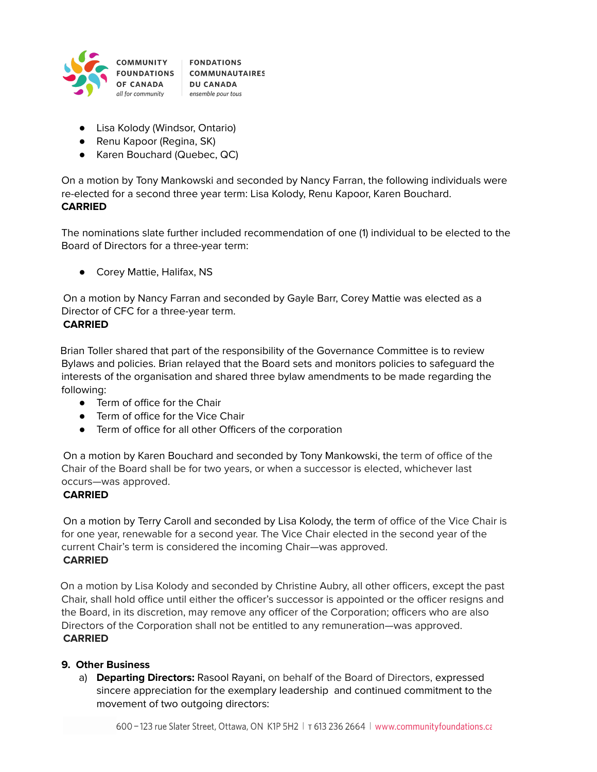

- Lisa Kolody (Windsor, Ontario)
- Renu Kapoor (Regina, SK)
- Karen Bouchard (Quebec, QC)

On a motion by Tony Mankowski and seconded by Nancy Farran, the following individuals were re-elected for a second three year term: Lisa Kolody, Renu Kapoor, Karen Bouchard. **CARRIED**

The nominations slate further included recommendation of one (1) individual to be elected to the Board of Directors for a three-year term:

● Corey Mattie, Halifax, NS

On a motion by Nancy Farran and seconded by Gayle Barr, Corey Mattie was elected as a Director of CFC for a three-year term.

## **CARRIED**

Brian Toller shared that part of the responsibility of the Governance Committee is to review Bylaws and policies. Brian relayed that the Board sets and monitors policies to safeguard the interests of the organisation and shared three bylaw amendments to be made regarding the following:

- Term of office for the Chair
- Term of office for the Vice Chair
- Term of office for all other Officers of the corporation

On a motion by Karen Bouchard and seconded by Tony Mankowski, the term of office of the Chair of the Board shall be for two years, or when a successor is elected, whichever last occurs—was approved.

## **CARRIED**

On a motion by Terry Caroll and seconded by Lisa Kolody, the term of office of the Vice Chair is for one year, renewable for a second year. The Vice Chair elected in the second year of the current Chair's term is considered the incoming Chair—was approved. **CARRIED**

On a motion by Lisa Kolody and seconded by Christine Aubry, all other officers, except the past Chair, shall hold office until either the officer's successor is appointed or the officer resigns and the Board, in its discretion, may remove any officer of the Corporation; officers who are also Directors of the Corporation shall not be entitled to any remuneration—was approved. **CARRIED**

## **9. Other Business**

a) **Departing Directors:** Rasool Rayani, on behalf of the Board of Directors, expressed sincere appreciation for the exemplary leadership and continued commitment to the movement of two outgoing directors: